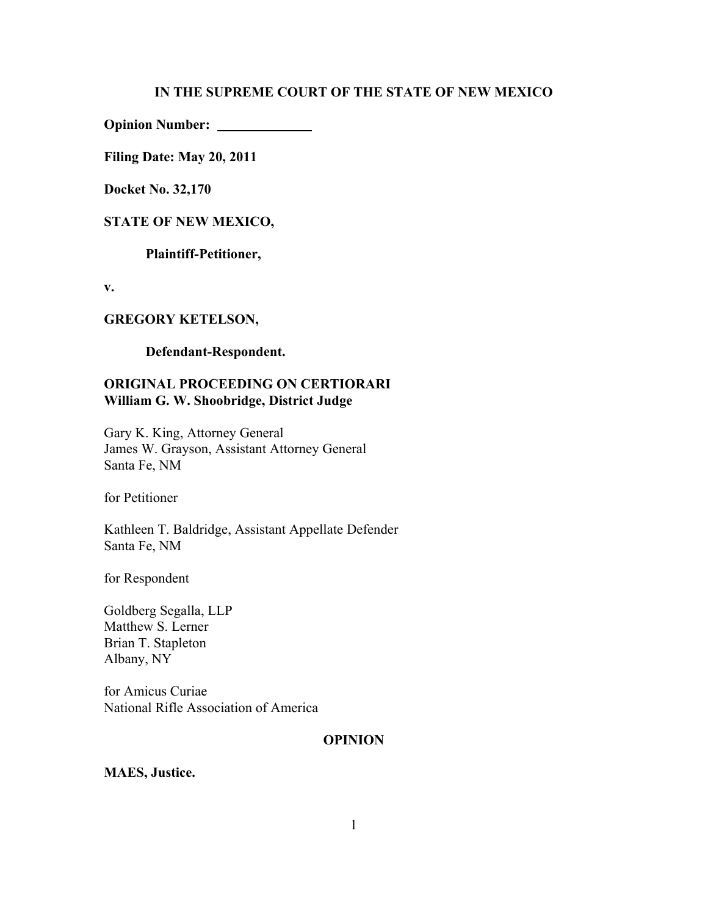#### **IN THE SUPREME COURT OF THE STATE OF NEW MEXICO**

**Opinion Number:** 

**Filing Date: May 20, 2011**

**Docket No. 32,170**

#### **STATE OF NEW MEXICO,**

**Plaintiff-Petitioner,**

**v.**

## **GREGORY KETELSON,**

**Defendant-Respondent.**

## **ORIGINAL PROCEEDING ON CERTIORARI William G. W. Shoobridge, District Judge**

Gary K. King, Attorney General James W. Grayson, Assistant Attorney General Santa Fe, NM

for Petitioner

Kathleen T. Baldridge, Assistant Appellate Defender Santa Fe, NM

for Respondent

Goldberg Segalla, LLP Matthew S. Lerner Brian T. Stapleton Albany, NY

for Amicus Curiae National Rifle Association of America

## **OPINION**

**MAES, Justice.**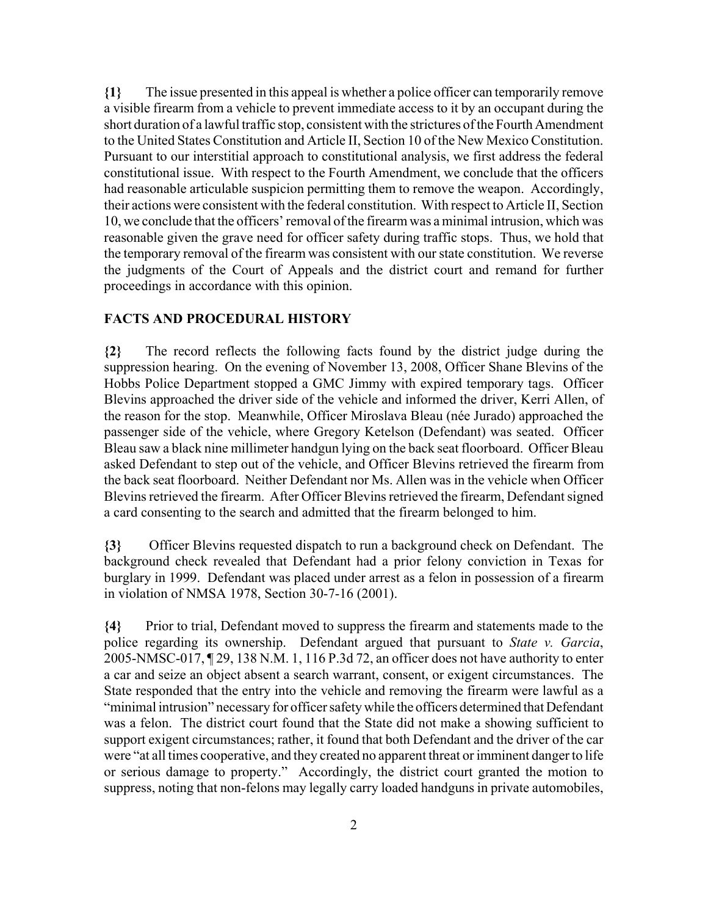**{1}** The issue presented in this appeal is whether a police officer can temporarily remove a visible firearm from a vehicle to prevent immediate access to it by an occupant during the short duration of a lawful traffic stop, consistent with the strictures of the Fourth Amendment to the United States Constitution and Article II, Section 10 of the New Mexico Constitution. Pursuant to our interstitial approach to constitutional analysis, we first address the federal constitutional issue. With respect to the Fourth Amendment, we conclude that the officers had reasonable articulable suspicion permitting them to remove the weapon. Accordingly, their actions were consistent with the federal constitution. With respect to Article II, Section 10, we conclude that the officers' removal of the firearm was a minimal intrusion, which was reasonable given the grave need for officer safety during traffic stops. Thus, we hold that the temporary removal of the firearm was consistent with our state constitution. We reverse the judgments of the Court of Appeals and the district court and remand for further proceedings in accordance with this opinion.

## **FACTS AND PROCEDURAL HISTORY**

**{2}** The record reflects the following facts found by the district judge during the suppression hearing. On the evening of November 13, 2008, Officer Shane Blevins of the Hobbs Police Department stopped a GMC Jimmy with expired temporary tags. Officer Blevins approached the driver side of the vehicle and informed the driver, Kerri Allen, of the reason for the stop. Meanwhile, Officer Miroslava Bleau (née Jurado) approached the passenger side of the vehicle, where Gregory Ketelson (Defendant) was seated. Officer Bleau saw a black nine millimeter handgun lying on the back seat floorboard. Officer Bleau asked Defendant to step out of the vehicle, and Officer Blevins retrieved the firearm from the back seat floorboard. Neither Defendant nor Ms. Allen was in the vehicle when Officer Blevins retrieved the firearm. After Officer Blevins retrieved the firearm, Defendant signed a card consenting to the search and admitted that the firearm belonged to him.

**{3}** Officer Blevins requested dispatch to run a background check on Defendant. The background check revealed that Defendant had a prior felony conviction in Texas for burglary in 1999. Defendant was placed under arrest as a felon in possession of a firearm in violation of NMSA 1978, Section 30-7-16 (2001).

**{4}** Prior to trial, Defendant moved to suppress the firearm and statements made to the police regarding its ownership. Defendant argued that pursuant to *State v. Garcia*, 2005-NMSC-017, ¶ 29, 138 N.M. 1, 116 P.3d 72, an officer does not have authority to enter a car and seize an object absent a search warrant, consent, or exigent circumstances. The State responded that the entry into the vehicle and removing the firearm were lawful as a "minimal intrusion" necessary for officer safety while the officers determined that Defendant was a felon. The district court found that the State did not make a showing sufficient to support exigent circumstances; rather, it found that both Defendant and the driver of the car were "at all times cooperative, and they created no apparent threat or imminent danger to life or serious damage to property." Accordingly, the district court granted the motion to suppress, noting that non-felons may legally carry loaded handguns in private automobiles,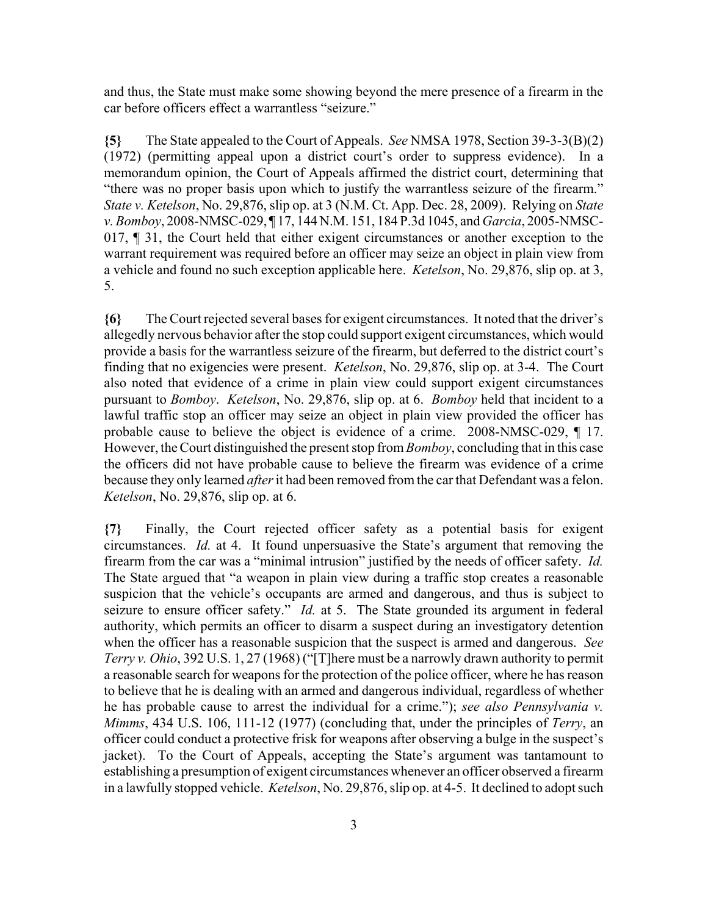and thus, the State must make some showing beyond the mere presence of a firearm in the car before officers effect a warrantless "seizure."

**{5}** The State appealed to the Court of Appeals. *See* NMSA 1978, Section 39-3-3(B)(2) (1972) (permitting appeal upon a district court's order to suppress evidence). In a memorandum opinion, the Court of Appeals affirmed the district court, determining that "there was no proper basis upon which to justify the warrantless seizure of the firearm." *State v. Ketelson*, No. 29,876, slip op. at 3 (N.M. Ct. App. Dec. 28, 2009). Relying on *State v. Bomboy*, 2008-NMSC-029, ¶ 17, 144 N.M. 151, 184 P.3d 1045, and *Garcia*, 2005-NMSC-017, ¶ 31, the Court held that either exigent circumstances or another exception to the warrant requirement was required before an officer may seize an object in plain view from a vehicle and found no such exception applicable here. *Ketelson*, No. 29,876, slip op. at 3, 5.

**{6}** The Court rejected several bases for exigent circumstances. It noted that the driver's allegedly nervous behavior after the stop could support exigent circumstances, which would provide a basis for the warrantless seizure of the firearm, but deferred to the district court's finding that no exigencies were present. *Ketelson*, No. 29,876, slip op. at 3-4. The Court also noted that evidence of a crime in plain view could support exigent circumstances pursuant to *Bomboy*. *Ketelson*, No. 29,876, slip op. at 6. *Bomboy* held that incident to a lawful traffic stop an officer may seize an object in plain view provided the officer has probable cause to believe the object is evidence of a crime. 2008-NMSC-029, ¶ 17. However, the Court distinguished the present stop from *Bomboy*, concluding that in this case the officers did not have probable cause to believe the firearm was evidence of a crime because they only learned *after* it had been removed from the car that Defendant was a felon. *Ketelson*, No. 29,876, slip op. at 6.

**{7}** Finally, the Court rejected officer safety as a potential basis for exigent circumstances. *Id.* at 4. It found unpersuasive the State's argument that removing the firearm from the car was a "minimal intrusion" justified by the needs of officer safety. *Id.* The State argued that "a weapon in plain view during a traffic stop creates a reasonable suspicion that the vehicle's occupants are armed and dangerous, and thus is subject to seizure to ensure officer safety." *Id.* at 5. The State grounded its argument in federal authority, which permits an officer to disarm a suspect during an investigatory detention when the officer has a reasonable suspicion that the suspect is armed and dangerous. *See Terry v. Ohio*, 392 U.S. 1, 27 (1968) ("[T]here must be a narrowly drawn authority to permit a reasonable search for weapons for the protection of the police officer, where he has reason to believe that he is dealing with an armed and dangerous individual, regardless of whether he has probable cause to arrest the individual for a crime."); *see also Pennsylvania v. Mimms*, 434 U.S. 106, 111-12 (1977) (concluding that, under the principles of *Terry*, an officer could conduct a protective frisk for weapons after observing a bulge in the suspect's jacket). To the Court of Appeals, accepting the State's argument was tantamount to establishing a presumption of exigent circumstances whenever an officer observed a firearm in a lawfully stopped vehicle. *Ketelson*, No. 29,876, slip op. at 4-5. It declined to adopt such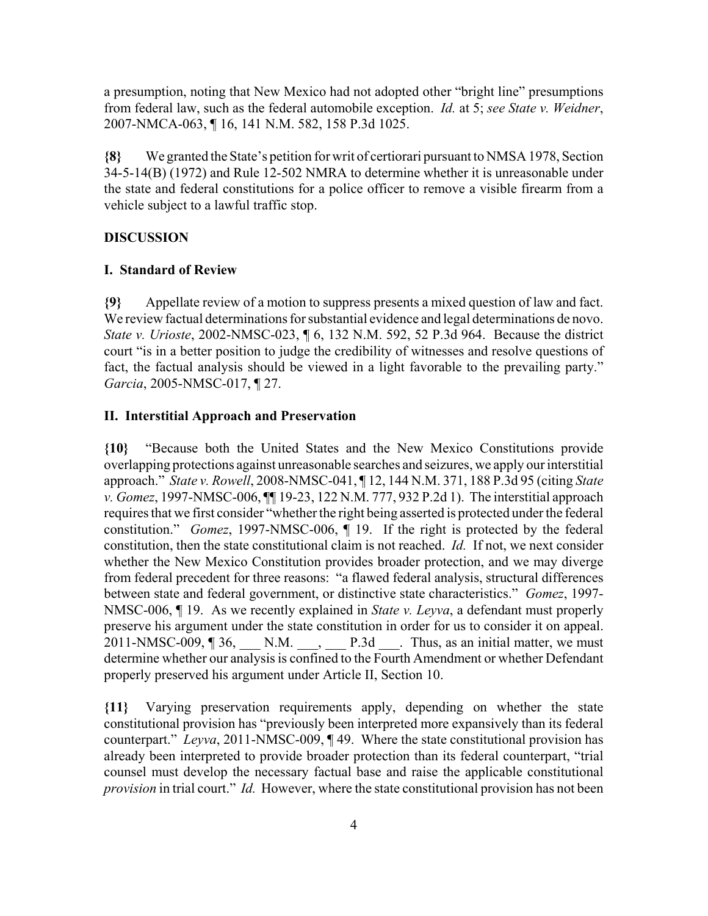a presumption, noting that New Mexico had not adopted other "bright line" presumptions from federal law, such as the federal automobile exception. *Id.* at 5; *see State v. Weidner*, 2007-NMCA-063, ¶ 16, 141 N.M. 582, 158 P.3d 1025.

**{8}** We granted the State's petition for writ of certiorari pursuant to NMSA 1978, Section 34-5-14(B) (1972) and Rule 12-502 NMRA to determine whether it is unreasonable under the state and federal constitutions for a police officer to remove a visible firearm from a vehicle subject to a lawful traffic stop.

## **DISCUSSION**

## **I. Standard of Review**

**{9}** Appellate review of a motion to suppress presents a mixed question of law and fact. We review factual determinations for substantial evidence and legal determinations de novo. *State v. Urioste*, 2002-NMSC-023, ¶ 6, 132 N.M. 592, 52 P.3d 964. Because the district court "is in a better position to judge the credibility of witnesses and resolve questions of fact, the factual analysis should be viewed in a light favorable to the prevailing party." *Garcia*, 2005-NMSC-017, ¶ 27.

## **II. Interstitial Approach and Preservation**

**{10}** "Because both the United States and the New Mexico Constitutions provide overlapping protections against unreasonable searches and seizures, we apply our interstitial approach." *State v. Rowell*, 2008-NMSC-041, ¶ 12, 144 N.M. 371, 188 P.3d 95 (citing *State v. Gomez*, 1997-NMSC-006, ¶¶ 19-23, 122 N.M. 777, 932 P.2d 1). The interstitial approach requires that we first consider "whether the right being asserted is protected under the federal constitution." *Gomez*, 1997-NMSC-006, ¶ 19. If the right is protected by the federal constitution, then the state constitutional claim is not reached. *Id.* If not, we next consider whether the New Mexico Constitution provides broader protection, and we may diverge from federal precedent for three reasons: "a flawed federal analysis, structural differences between state and federal government, or distinctive state characteristics." *Gomez*, 1997- NMSC-006, ¶ 19. As we recently explained in *State v. Leyva*, a defendant must properly preserve his argument under the state constitution in order for us to consider it on appeal. 2011-NMSC-009,  $\parallel$  36,  $\qquad N.M. \qquad P.3d \qquad$  Thus, as an initial matter, we must determine whether our analysis is confined to the Fourth Amendment or whether Defendant properly preserved his argument under Article II, Section 10.

**{11}** Varying preservation requirements apply, depending on whether the state constitutional provision has "previously been interpreted more expansively than its federal counterpart." *Leyva*, 2011-NMSC-009, ¶ 49. Where the state constitutional provision has already been interpreted to provide broader protection than its federal counterpart, "trial counsel must develop the necessary factual base and raise the applicable constitutional *provision* in trial court." *Id.* However, where the state constitutional provision has not been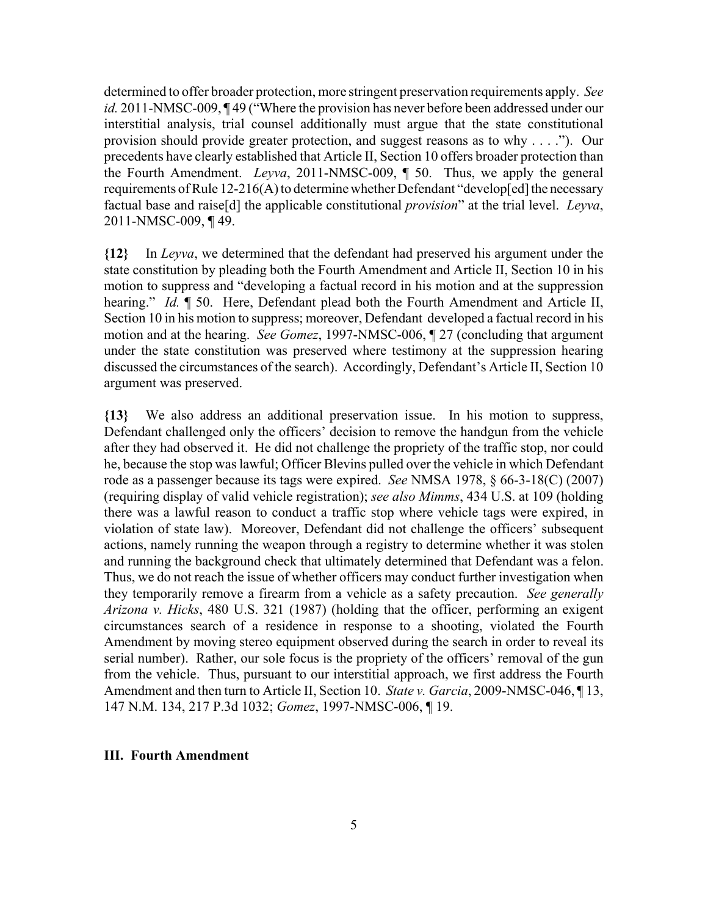determined to offer broader protection, more stringent preservation requirements apply. *See id.* 2011-NMSC-009, ¶ 49 ("Where the provision has never before been addressed under our interstitial analysis, trial counsel additionally must argue that the state constitutional provision should provide greater protection, and suggest reasons as to why . . . ."). Our precedents have clearly established that Article II, Section 10 offers broader protection than the Fourth Amendment. *Leyva*, 2011-NMSC-009, ¶ 50. Thus, we apply the general requirements of Rule 12-216(A) to determine whether Defendant "develop[ed] the necessary factual base and raise[d] the applicable constitutional *provision*" at the trial level. *Leyva*, 2011-NMSC-009, ¶ 49.

**{12}** In *Leyva*, we determined that the defendant had preserved his argument under the state constitution by pleading both the Fourth Amendment and Article II, Section 10 in his motion to suppress and "developing a factual record in his motion and at the suppression hearing." *Id.* ¶ 50. Here, Defendant plead both the Fourth Amendment and Article II, Section 10 in his motion to suppress; moreover, Defendant developed a factual record in his motion and at the hearing. *See Gomez*, 1997-NMSC-006, ¶ 27 (concluding that argument under the state constitution was preserved where testimony at the suppression hearing discussed the circumstances of the search). Accordingly, Defendant's Article II, Section 10 argument was preserved.

**{13}** We also address an additional preservation issue. In his motion to suppress, Defendant challenged only the officers' decision to remove the handgun from the vehicle after they had observed it. He did not challenge the propriety of the traffic stop, nor could he, because the stop was lawful; Officer Blevins pulled over the vehicle in which Defendant rode as a passenger because its tags were expired. *See* NMSA 1978, § 66-3-18(C) (2007) (requiring display of valid vehicle registration); *see also Mimms*, 434 U.S. at 109 (holding there was a lawful reason to conduct a traffic stop where vehicle tags were expired, in violation of state law). Moreover, Defendant did not challenge the officers' subsequent actions, namely running the weapon through a registry to determine whether it was stolen and running the background check that ultimately determined that Defendant was a felon. Thus, we do not reach the issue of whether officers may conduct further investigation when they temporarily remove a firearm from a vehicle as a safety precaution. *See generally Arizona v. Hicks*, 480 U.S. 321 (1987) (holding that the officer, performing an exigent circumstances search of a residence in response to a shooting, violated the Fourth Amendment by moving stereo equipment observed during the search in order to reveal its serial number). Rather, our sole focus is the propriety of the officers' removal of the gun from the vehicle. Thus, pursuant to our interstitial approach, we first address the Fourth Amendment and then turn to Article II, Section 10. *State v. Garcia*, 2009-NMSC-046, ¶ 13, 147 N.M. 134, 217 P.3d 1032; *Gomez*, 1997-NMSC-006, ¶ 19.

#### **III. Fourth Amendment**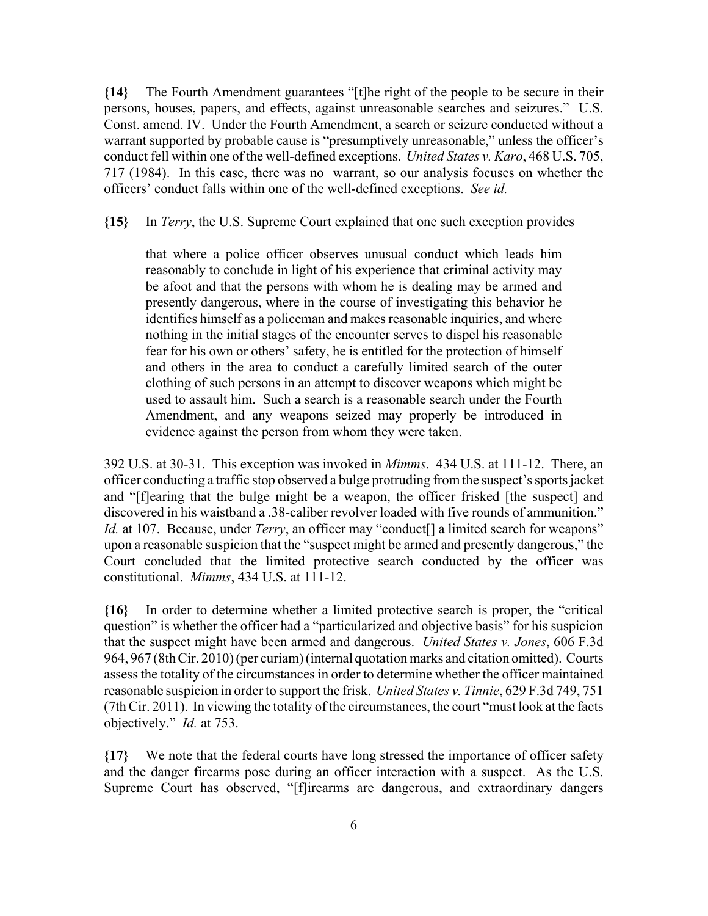**{14}** The Fourth Amendment guarantees "[t]he right of the people to be secure in their persons, houses, papers, and effects, against unreasonable searches and seizures." U.S. Const. amend. IV. Under the Fourth Amendment, a search or seizure conducted without a warrant supported by probable cause is "presumptively unreasonable," unless the officer's conduct fell within one of the well-defined exceptions. *United States v. Karo*, 468 U.S. 705, 717 (1984). In this case, there was no warrant, so our analysis focuses on whether the officers' conduct falls within one of the well-defined exceptions. *See id.*

**{15}** In *Terry*, the U.S. Supreme Court explained that one such exception provides

that where a police officer observes unusual conduct which leads him reasonably to conclude in light of his experience that criminal activity may be afoot and that the persons with whom he is dealing may be armed and presently dangerous, where in the course of investigating this behavior he identifies himself as a policeman and makes reasonable inquiries, and where nothing in the initial stages of the encounter serves to dispel his reasonable fear for his own or others' safety, he is entitled for the protection of himself and others in the area to conduct a carefully limited search of the outer clothing of such persons in an attempt to discover weapons which might be used to assault him. Such a search is a reasonable search under the Fourth Amendment, and any weapons seized may properly be introduced in evidence against the person from whom they were taken.

392 U.S. at 30-31. This exception was invoked in *Mimms*. 434 U.S. at 111-12. There, an officer conducting a traffic stop observed a bulge protruding from the suspect's sports jacket and "[f]earing that the bulge might be a weapon, the officer frisked [the suspect] and discovered in his waistband a .38-caliber revolver loaded with five rounds of ammunition." *Id.* at 107. Because, under *Terry*, an officer may "conduct<sup>[]</sup> a limited search for weapons" upon a reasonable suspicion that the "suspect might be armed and presently dangerous," the Court concluded that the limited protective search conducted by the officer was constitutional. *Mimms*, 434 U.S. at 111-12.

**{16}** In order to determine whether a limited protective search is proper, the "critical question" is whether the officer had a "particularized and objective basis" for his suspicion that the suspect might have been armed and dangerous. *United States v. Jones*, 606 F.3d 964, 967 (8th Cir. 2010) (per curiam) (internal quotation marks and citation omitted). Courts assess the totality of the circumstances in order to determine whether the officer maintained reasonable suspicion in order to support the frisk. *United States v. Tinnie*, 629 F.3d 749, 751 (7th Cir. 2011). In viewing the totality of the circumstances, the court "must look at the facts objectively." *Id.* at 753.

**{17}** We note that the federal courts have long stressed the importance of officer safety and the danger firearms pose during an officer interaction with a suspect. As the U.S. Supreme Court has observed, "[f]irearms are dangerous, and extraordinary dangers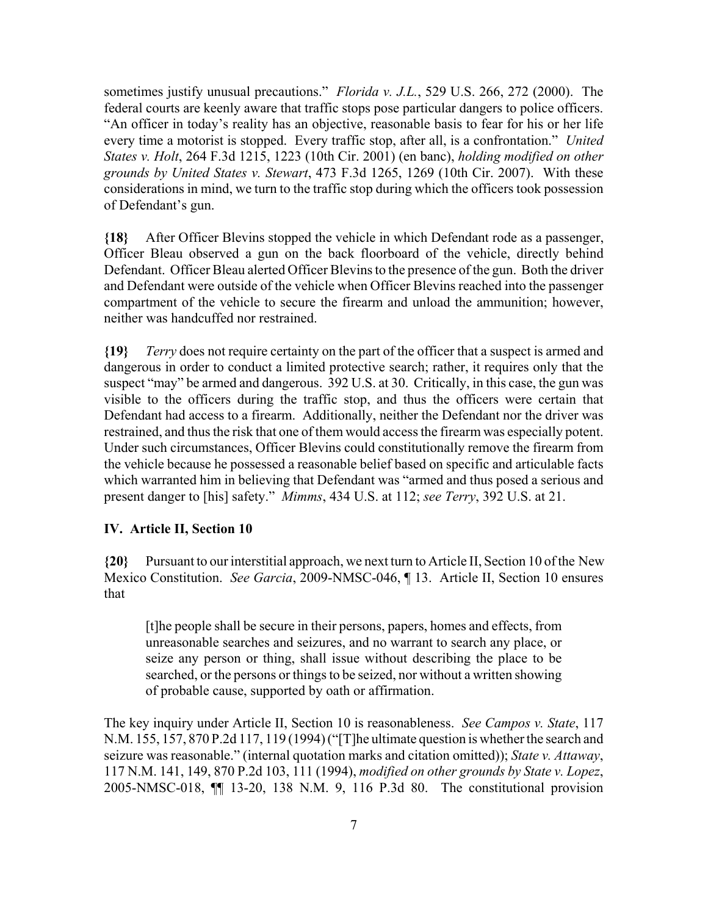sometimes justify unusual precautions." *Florida v. J.L.*, 529 U.S. 266, 272 (2000). The federal courts are keenly aware that traffic stops pose particular dangers to police officers. "An officer in today's reality has an objective, reasonable basis to fear for his or her life every time a motorist is stopped. Every traffic stop, after all, is a confrontation." *United States v. Holt*, 264 F.3d 1215, 1223 (10th Cir. 2001) (en banc), *holding modified on other grounds by United States v. Stewart*, 473 F.3d 1265, 1269 (10th Cir. 2007). With these considerations in mind, we turn to the traffic stop during which the officers took possession of Defendant's gun.

**{18}** After Officer Blevins stopped the vehicle in which Defendant rode as a passenger, Officer Bleau observed a gun on the back floorboard of the vehicle, directly behind Defendant. Officer Bleau alerted Officer Blevins to the presence of the gun. Both the driver and Defendant were outside of the vehicle when Officer Blevins reached into the passenger compartment of the vehicle to secure the firearm and unload the ammunition; however, neither was handcuffed nor restrained.

**{19}** *Terry* does not require certainty on the part of the officer that a suspect is armed and dangerous in order to conduct a limited protective search; rather, it requires only that the suspect "may" be armed and dangerous. 392 U.S. at 30. Critically, in this case, the gun was visible to the officers during the traffic stop, and thus the officers were certain that Defendant had access to a firearm. Additionally, neither the Defendant nor the driver was restrained, and thus the risk that one of them would access the firearm was especially potent. Under such circumstances, Officer Blevins could constitutionally remove the firearm from the vehicle because he possessed a reasonable belief based on specific and articulable facts which warranted him in believing that Defendant was "armed and thus posed a serious and present danger to [his] safety." *Mimms*, 434 U.S. at 112; *see Terry*, 392 U.S. at 21.

#### **IV. Article II, Section 10**

**{20}** Pursuant to our interstitial approach, we next turn to Article II, Section 10 of the New Mexico Constitution. *See Garcia*, 2009-NMSC-046, ¶ 13. Article II, Section 10 ensures that

[t]he people shall be secure in their persons, papers, homes and effects, from unreasonable searches and seizures, and no warrant to search any place, or seize any person or thing, shall issue without describing the place to be searched, or the persons or things to be seized, nor without a written showing of probable cause, supported by oath or affirmation.

The key inquiry under Article II, Section 10 is reasonableness. *See Campos v. State*, 117 N.M. 155, 157, 870 P.2d 117, 119 (1994) ("[T]he ultimate question is whether the search and seizure was reasonable." (internal quotation marks and citation omitted)); *State v. Attaway*, 117 N.M. 141, 149, 870 P.2d 103, 111 (1994), *modified on other grounds by State v. Lopez*, 2005-NMSC-018, ¶¶ 13-20, 138 N.M. 9, 116 P.3d 80. The constitutional provision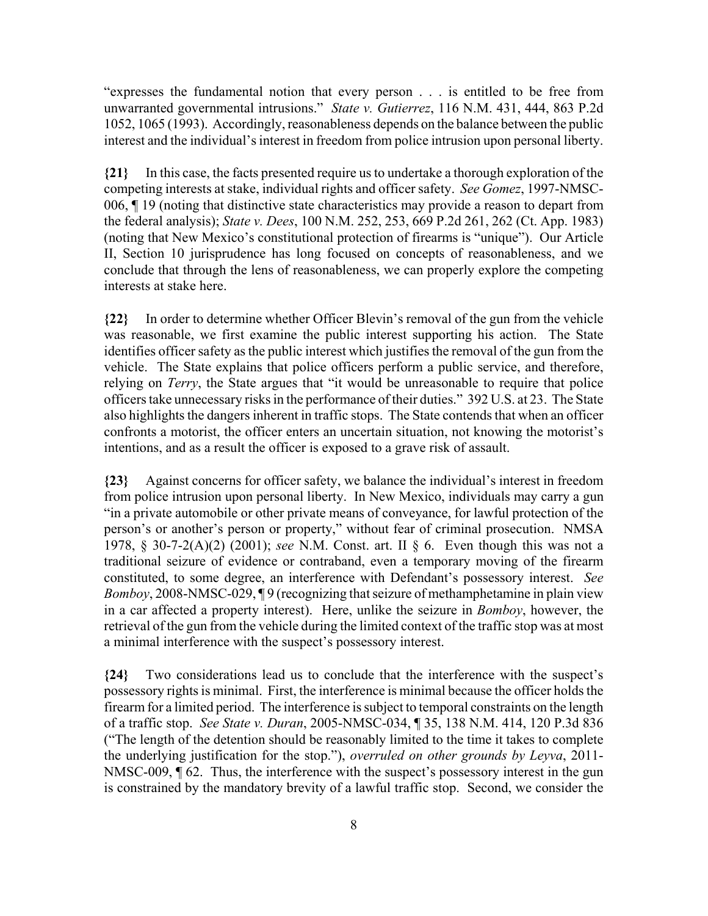"expresses the fundamental notion that every person . . . is entitled to be free from unwarranted governmental intrusions." *State v. Gutierrez*, 116 N.M. 431, 444, 863 P.2d 1052, 1065 (1993). Accordingly, reasonableness depends on the balance between the public interest and the individual's interest in freedom from police intrusion upon personal liberty.

**{21}** In this case, the facts presented require us to undertake a thorough exploration of the competing interests at stake, individual rights and officer safety. *See Gomez*, 1997-NMSC-006, ¶ 19 (noting that distinctive state characteristics may provide a reason to depart from the federal analysis); *State v. Dees*, 100 N.M. 252, 253, 669 P.2d 261, 262 (Ct. App. 1983) (noting that New Mexico's constitutional protection of firearms is "unique"). Our Article II, Section 10 jurisprudence has long focused on concepts of reasonableness, and we conclude that through the lens of reasonableness, we can properly explore the competing interests at stake here.

**{22}** In order to determine whether Officer Blevin's removal of the gun from the vehicle was reasonable, we first examine the public interest supporting his action. The State identifies officer safety as the public interest which justifies the removal of the gun from the vehicle. The State explains that police officers perform a public service, and therefore, relying on *Terry*, the State argues that "it would be unreasonable to require that police officers take unnecessary risks in the performance of their duties." 392 U.S. at 23. The State also highlights the dangers inherent in traffic stops. The State contends that when an officer confronts a motorist, the officer enters an uncertain situation, not knowing the motorist's intentions, and as a result the officer is exposed to a grave risk of assault.

**{23}** Against concerns for officer safety, we balance the individual's interest in freedom from police intrusion upon personal liberty. In New Mexico, individuals may carry a gun "in a private automobile or other private means of conveyance, for lawful protection of the person's or another's person or property," without fear of criminal prosecution. NMSA 1978, § 30-7-2(A)(2) (2001); *see* N.M. Const. art. II § 6. Even though this was not a traditional seizure of evidence or contraband, even a temporary moving of the firearm constituted, to some degree, an interference with Defendant's possessory interest. *See Bomboy*, 2008-NMSC-029, ¶ 9 (recognizing that seizure of methamphetamine in plain view in a car affected a property interest). Here, unlike the seizure in *Bomboy*, however, the retrieval of the gun from the vehicle during the limited context of the traffic stop was at most a minimal interference with the suspect's possessory interest.

**{24}** Two considerations lead us to conclude that the interference with the suspect's possessory rights is minimal. First, the interference is minimal because the officer holds the firearm for a limited period. The interference is subject to temporal constraints on the length of a traffic stop. *See State v. Duran*, 2005-NMSC-034, ¶ 35, 138 N.M. 414, 120 P.3d 836 ("The length of the detention should be reasonably limited to the time it takes to complete the underlying justification for the stop."), *overruled on other grounds by Leyva*, 2011- NMSC-009, ¶ 62. Thus, the interference with the suspect's possessory interest in the gun is constrained by the mandatory brevity of a lawful traffic stop. Second, we consider the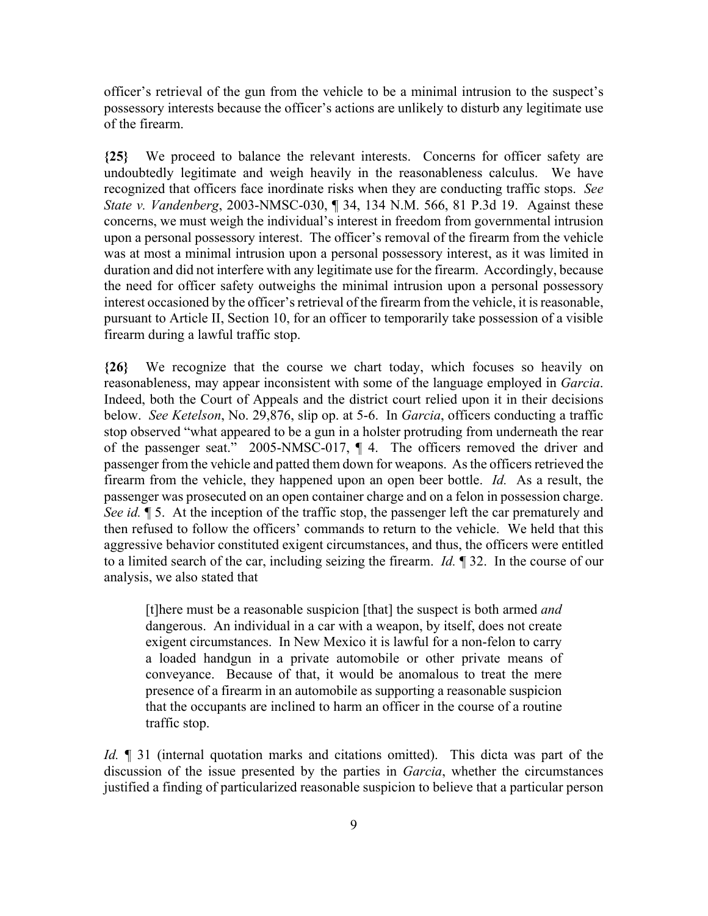officer's retrieval of the gun from the vehicle to be a minimal intrusion to the suspect's possessory interests because the officer's actions are unlikely to disturb any legitimate use of the firearm.

**{25}** We proceed to balance the relevant interests. Concerns for officer safety are undoubtedly legitimate and weigh heavily in the reasonableness calculus. We have recognized that officers face inordinate risks when they are conducting traffic stops. *See State v. Vandenberg*, 2003-NMSC-030, ¶ 34, 134 N.M. 566, 81 P.3d 19. Against these concerns, we must weigh the individual's interest in freedom from governmental intrusion upon a personal possessory interest. The officer's removal of the firearm from the vehicle was at most a minimal intrusion upon a personal possessory interest, as it was limited in duration and did not interfere with any legitimate use for the firearm. Accordingly, because the need for officer safety outweighs the minimal intrusion upon a personal possessory interest occasioned by the officer's retrieval of the firearm from the vehicle, it is reasonable, pursuant to Article II, Section 10, for an officer to temporarily take possession of a visible firearm during a lawful traffic stop.

**{26}** We recognize that the course we chart today, which focuses so heavily on reasonableness, may appear inconsistent with some of the language employed in *Garcia*. Indeed, both the Court of Appeals and the district court relied upon it in their decisions below. *See Ketelson*, No. 29,876, slip op. at 5-6. In *Garcia*, officers conducting a traffic stop observed "what appeared to be a gun in a holster protruding from underneath the rear of the passenger seat." 2005-NMSC-017, ¶ 4. The officers removed the driver and passenger from the vehicle and patted them down for weapons. As the officers retrieved the firearm from the vehicle, they happened upon an open beer bottle. *Id.* As a result, the passenger was prosecuted on an open container charge and on a felon in possession charge. *See id.* ¶ 5. At the inception of the traffic stop, the passenger left the car prematurely and then refused to follow the officers' commands to return to the vehicle. We held that this aggressive behavior constituted exigent circumstances, and thus, the officers were entitled to a limited search of the car, including seizing the firearm. *Id.* ¶ 32. In the course of our analysis, we also stated that

[t]here must be a reasonable suspicion [that] the suspect is both armed *and* dangerous. An individual in a car with a weapon, by itself, does not create exigent circumstances. In New Mexico it is lawful for a non-felon to carry a loaded handgun in a private automobile or other private means of conveyance. Because of that, it would be anomalous to treat the mere presence of a firearm in an automobile as supporting a reasonable suspicion that the occupants are inclined to harm an officer in the course of a routine traffic stop.

*Id.* **¶** 31 (internal quotation marks and citations omitted). This dicta was part of the discussion of the issue presented by the parties in *Garcia*, whether the circumstances justified a finding of particularized reasonable suspicion to believe that a particular person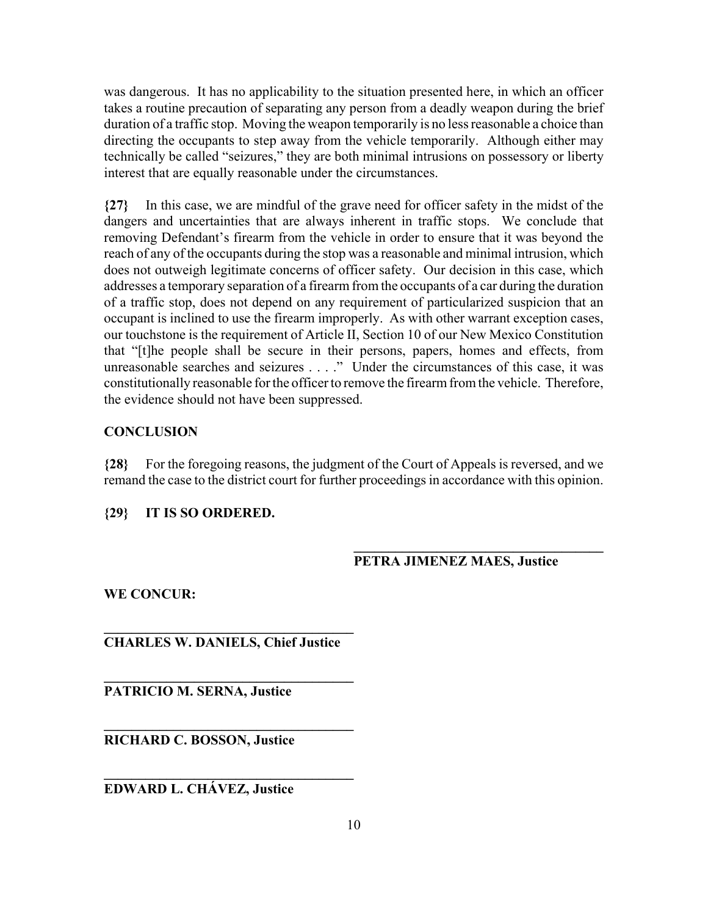was dangerous. It has no applicability to the situation presented here, in which an officer takes a routine precaution of separating any person from a deadly weapon during the brief duration of a traffic stop. Moving the weapon temporarily is no less reasonable a choice than directing the occupants to step away from the vehicle temporarily. Although either may technically be called "seizures," they are both minimal intrusions on possessory or liberty interest that are equally reasonable under the circumstances.

**{27}** In this case, we are mindful of the grave need for officer safety in the midst of the dangers and uncertainties that are always inherent in traffic stops. We conclude that removing Defendant's firearm from the vehicle in order to ensure that it was beyond the reach of any of the occupants during the stop was a reasonable and minimal intrusion, which does not outweigh legitimate concerns of officer safety. Our decision in this case, which addresses a temporary separation of a firearm from the occupants of a car during the duration of a traffic stop, does not depend on any requirement of particularized suspicion that an occupant is inclined to use the firearm improperly. As with other warrant exception cases, our touchstone is the requirement of Article II, Section 10 of our New Mexico Constitution that "[t]he people shall be secure in their persons, papers, homes and effects, from unreasonable searches and seizures . . . ." Under the circumstances of this case, it was constitutionally reasonable for the officer to remove the firearm from the vehicle. Therefore, the evidence should not have been suppressed.

# **CONCLUSION**

**{28}** For the foregoing reasons, the judgment of the Court of Appeals is reversed, and we remand the case to the district court for further proceedings in accordance with this opinion.

# **{29} IT IS SO ORDERED.**

# **PETRA JIMENEZ MAES, Justice**

**\_\_\_\_\_\_\_\_\_\_\_\_\_\_\_\_\_\_\_\_\_\_\_\_\_\_\_\_\_\_\_\_\_\_\_\_**

**WE CONCUR:**

**\_\_\_\_\_\_\_\_\_\_\_\_\_\_\_\_\_\_\_\_\_\_\_\_\_\_\_\_\_\_\_\_\_\_\_\_ CHARLES W. DANIELS, Chief Justice**

**\_\_\_\_\_\_\_\_\_\_\_\_\_\_\_\_\_\_\_\_\_\_\_\_\_\_\_\_\_\_\_\_\_\_\_\_**

**\_\_\_\_\_\_\_\_\_\_\_\_\_\_\_\_\_\_\_\_\_\_\_\_\_\_\_\_\_\_\_\_\_\_\_\_**

**\_\_\_\_\_\_\_\_\_\_\_\_\_\_\_\_\_\_\_\_\_\_\_\_\_\_\_\_\_\_\_\_\_\_\_\_**

**PATRICIO M. SERNA, Justice**

**RICHARD C. BOSSON, Justice**

**EDWARD L. CHÁVEZ, Justice**